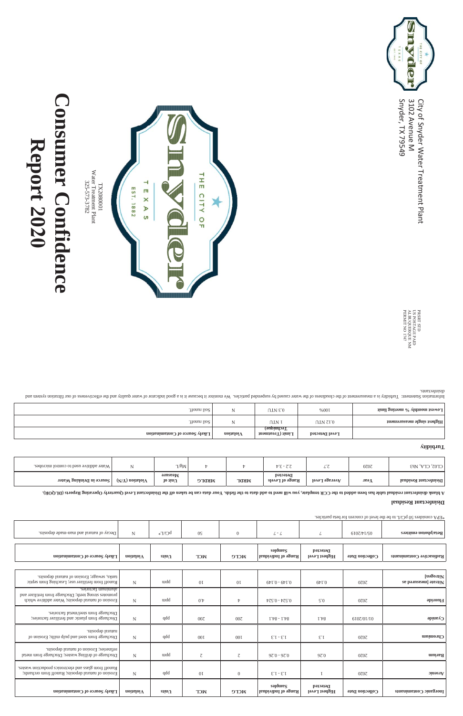

# **Consumer Confidence Report 20SO**

a y die  $\frac{1}{m}$ CITY Snyder, TX 3102 Avenue M City of Snyder Water Treatment Plant

79549

| tanks, sewage; Erosion of natural deposits.<br>Runoff from fertilizer use; Leaching from septic                                  | $\mathbf N$ | uidd       | 0 <sub>I</sub> | 0 <sub>I</sub> | $0.149 - 0.149$                 | QPL.0                            | 0707            | [nagonil]<br>Nitrate [measured as |
|----------------------------------------------------------------------------------------------------------------------------------|-------------|------------|----------------|----------------|---------------------------------|----------------------------------|-----------------|-----------------------------------|
| aluminum factories.<br>promotes strong teeth; Discharge from fertilizer and<br>Erosion of natural deposits; Water addition which | N           | uidd       | $0^{\cdot}$    |                | 4224 - 425.0                    | $\mathcal{L}$ .0                 | 0z0z            | <b>Pluoride</b>                   |
| Discharge from steel/metal factories.<br>Discharge from plastic and fertilizer factories;                                        | N           | qdd        | $00\zeta$      | $00\zeta$      | $1.48 - 1.48$                   | 1.48                             | 6107/01/10      | Cyanide                           |
| natural deposits.<br>Discharge from steel and pulp mills; Erosion of                                                             | N           | qdd        | 00I            | 001            | $E.I - E.I$                     | $E$ . I                          | 0z0z            | Chromium                          |
| efineries; Erosion of natural deposits.<br>Discharge of drilling wastes; Discharge from metal                                    | $\mathbf N$ | uidd       | $\zeta$        | $\mathcal{L}$  | $970 - 970$                     | 97.0                             | 0z0z            | Barium                            |
| Runoff from glass and electronics production wastes.<br>Erosion of natural deposits; Runoff from orchards;                       | $\mathbf N$ | qdd        | 0 <sub>I</sub> | $\overline{0}$ | $E.I - E.I$                     |                                  | 0707            | $\frac{1}{2}$                     |
| Likely Source of Contamination                                                                                                   | noitaloiV   | $\sin\eta$ | <b>NCL</b>     | <b>MCTC</b>    | sənduras<br>Range of Individual | Detected<br><b>Highest Level</b> | Collection Date | Inorganic Contaninants            |

Internation system of the cloudiness of the cloudiness of the suspender and the sport is a monitor of water and incidement of the clientic causes of our filtration shad in the clientic causes of our filtration Statement St disinfectants.

PRSRT STD<br>US POSTAGE PAID<br>ALBUQUERQUE NM<br>PERMIT NO 1747 PERMIT NO 1747 **XLBUQUERQUE NM** US POSTAGE PAID PRSRT STD

|                                |          |              |             |                    | səjdureç            | <b>Detected</b> |                       |                          |
|--------------------------------|----------|--------------|-------------|--------------------|---------------------|-----------------|-----------------------|--------------------------|
| Likely Source of Contamination | uonejoi/ | $\sin\theta$ | <b>NICL</b> | <b>DATA</b><br>ハノル | Range of Individual | Highest Level   | $\sim$ ollection Date | Radioactive Contaminants |

| and man-made deposits.<br>. телпіви 10 Ль. |  | $T/I\supseteq d$<br>$\overline{1}$ |  |  |  |  | $\mathbf{H}$ $\mathbf{H}$ $\mathbf{H}$ | Beta/photon emitters |
|--------------------------------------------|--|------------------------------------|--|--|--|--|----------------------------------------|----------------------|
|--------------------------------------------|--|------------------------------------|--|--|--|--|----------------------------------------|----------------------|

\*EPA considers 50 pCi/L to be the level of concern for beta particles.

# **Disinfectant Residual**

A BOO LO stroged guiterad Vratust Deval manamial of the mash ad mas ataburu valuate on table to the Duard dising the core of the or been and the Disputation and the Disputation and the Disputation and the field strong with

| Water additive used to control microbes. |                      | T/2M                                           |       |              | $F^{\epsilon}E = 7.7$       | $\cdots$<br>◡ | 0z0z | CLO2, CLA, Nh3                |
|------------------------------------------|----------------------|------------------------------------------------|-------|--------------|-----------------------------|---------------|------|-------------------------------|
| $\vert$ Source in Drinking Water         | $(N/X)$ noitaloi $V$ | $\mathbf{a}$ unse $\mathbf{w}$<br>$10$ iin $U$ | MKDLG | <b>NIRDT</b> | Detected<br>Range of Levels | Average Level | леэд | $\vert$ Disinfectant Residual |

### **Turbidity**

| $\mid$ Lowest monthly % meeting limit | %00I           | UTV £.0                        |           | . Tionun lio <sub>2</sub>      |
|---------------------------------------|----------------|--------------------------------|-----------|--------------------------------|
| $\mu$ angleat aingle measur.cument    | UTV SL.0       | utv i                          |           | . Tionun lio 2                 |
|                                       | Level Detected | Technique)<br>Limit (Treatment | noitaloiV | Likely Source of Contamination |